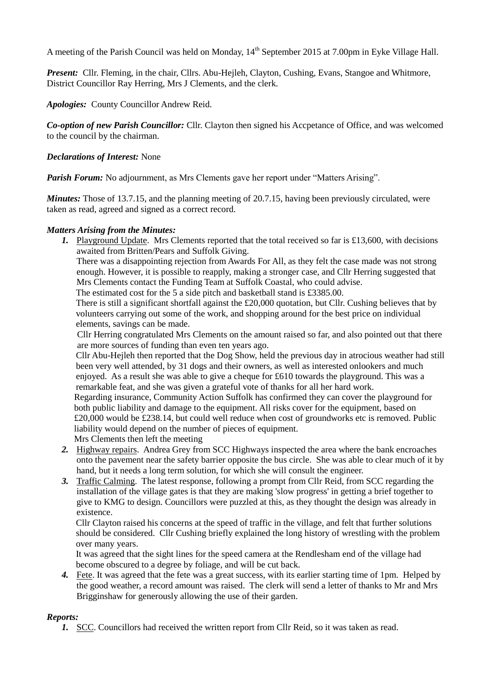A meeting of the Parish Council was held on Monday,  $14<sup>th</sup>$  September 2015 at 7.00pm in Eyke Village Hall.

*Present:* Cllr. Fleming, in the chair, Cllrs. Abu-Hejleh, Clayton, Cushing, Evans, Stangoe and Whitmore, District Councillor Ray Herring, Mrs J Clements, and the clerk.

*Apologies:* County Councillor Andrew Reid.

*Co-option of new Parish Councillor:* Cllr. Clayton then signed his Accpetance of Office, and was welcomed to the council by the chairman.

## *Declarations of Interest:* None

*Parish Forum:* No adjournment, as Mrs Clements gave her report under "Matters Arising".

*Minutes:* Those of 13.7.15, and the planning meeting of 20.7.15, having been previously circulated, were taken as read, agreed and signed as a correct record.

## *Matters Arising from the Minutes:*

*1.* Playground Update. Mrs Clements reported that the total received so far is £13,600, with decisions awaited from Britten/Pears and Suffolk Giving.

There was a disappointing rejection from Awards For All, as they felt the case made was not strong enough. However, it is possible to reapply, making a stronger case, and Cllr Herring suggested that Mrs Clements contact the Funding Team at Suffolk Coastal, who could advise.

The estimated cost for the 5 a side pitch and basketball stand is £3385.00.

There is still a significant shortfall against the £20,000 quotation, but Cllr. Cushing believes that by volunteers carrying out some of the work, and shopping around for the best price on individual elements, savings can be made.

Cllr Herring congratulated Mrs Clements on the amount raised so far, and also pointed out that there are more sources of funding than even ten years ago.

Cllr Abu-Hejleh then reported that the Dog Show, held the previous day in atrocious weather had still been very well attended, by 31 dogs and their owners, as well as interested onlookers and much enjoyed. As a result she was able to give a cheque for £610 towards the playground. This was a remarkable feat, and she was given a grateful vote of thanks for all her hard work.

Regarding insurance, Community Action Suffolk has confirmed they can cover the playground for both public liability and damage to the equipment. All risks cover for the equipment, based on £20,000 would be £238.14, but could well reduce when cost of groundworks etc is removed. Public liability would depend on the number of pieces of equipment.

Mrs Clements then left the meeting

- *2.* Highway repairs. Andrea Grey from SCC Highways inspected the area where the bank encroaches onto the pavement near the safety barrier opposite the bus circle. She was able to clear much of it by hand, but it needs a long term solution, for which she will consult the engineer.
- *3.* Traffic Calming. The latest response, following a prompt from Cllr Reid, from SCC regarding the installation of the village gates is that they are making 'slow progress' in getting a brief together to give to KMG to design. Councillors were puzzled at this, as they thought the design was already in existence.

Cllr Clayton raised his concerns at the speed of traffic in the village, and felt that further solutions should be considered. Cllr Cushing briefly explained the long history of wrestling with the problem over many years.

It was agreed that the sight lines for the speed camera at the Rendlesham end of the village had become obscured to a degree by foliage, and will be cut back.

*4.* Fete. It was agreed that the fete was a great success, with its earlier starting time of 1pm. Helped by the good weather, a record amount was raised. The clerk will send a letter of thanks to Mr and Mrs Brigginshaw for generously allowing the use of their garden.

# *Reports:*

*1.* SCC. Councillors had received the written report from Cllr Reid, so it was taken as read.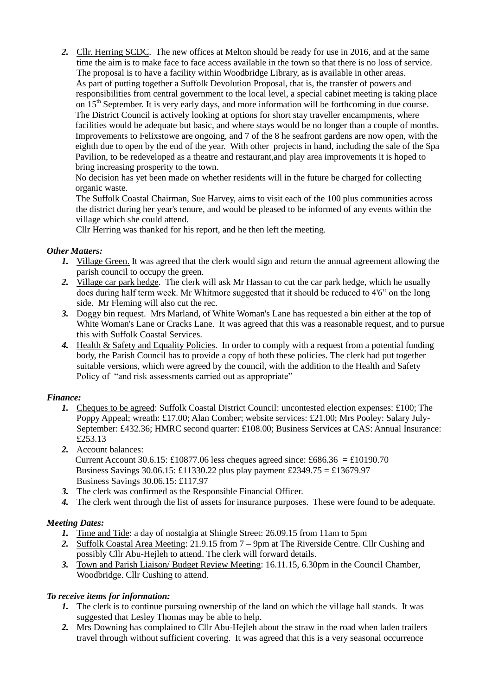*2.* Cllr. Herring SCDC. The new offices at Melton should be ready for use in 2016, and at the same time the aim is to make face to face access available in the town so that there is no loss of service. The proposal is to have a facility within Woodbridge Library, as is available in other areas. As part of putting together a Suffolk Devolution Proposal, that is, the transfer of powers and responsibilities from central government to the local level, a special cabinet meeting is taking place on 15<sup>th</sup> September. It is very early days, and more information will be forthcoming in due course. The District Council is actively looking at options for short stay traveller encampments, where facilities would be adequate but basic, and where stays would be no longer than a couple of months. Improvements to Felixstowe are ongoing, and 7 of the 8 he seafront gardens are now open, with the eighth due to open by the end of the year. With other projects in hand, including the sale of the Spa Pavilion, to be redeveloped as a theatre and restaurant,and play area improvements it is hoped to bring increasing prosperity to the town.

No decision has yet been made on whether residents will in the future be charged for collecting organic waste.

The Suffolk Coastal Chairman, Sue Harvey, aims to visit each of the 100 plus communities across the district during her year's tenure, and would be pleased to be informed of any events within the village which she could attend.

Cllr Herring was thanked for his report, and he then left the meeting.

## *Other Matters:*

- *1.* Village Green. It was agreed that the clerk would sign and return the annual agreement allowing the parish council to occupy the green.
- *2.* Village car park hedge. The clerk will ask Mr Hassan to cut the car park hedge, which he usually does during half term week. Mr Whitmore suggested that it should be reduced to 4'6" on the long side. Mr Fleming will also cut the rec.
- *3.* Doggy bin request. Mrs Marland, of White Woman's Lane has requested a bin either at the top of White Woman's Lane or Cracks Lane. It was agreed that this was a reasonable request, and to pursue this with Suffolk Coastal Services.
- *4.* Health & Safety and Equality Policies. In order to comply with a request from a potential funding body, the Parish Council has to provide a copy of both these policies. The clerk had put together suitable versions, which were agreed by the council, with the addition to the Health and Safety Policy of "and risk assessments carried out as appropriate"

# *Finance:*

- *1.* Cheques to be agreed: Suffolk Coastal District Council: uncontested election expenses: £100; The Poppy Appeal; wreath: £17.00; Alan Comber; website services: £21.00; Mrs Pooley: Salary July-September: £432.36; HMRC second quarter: £108.00; Business Services at CAS: Annual Insurance: £253.13
- *2.* Account balances: Current Account 30.6.15: £10877.06 less cheques agreed since: £686.36 = £10190.70 Business Savings 30.06.15: £11330.22 plus play payment £2349.75 = £13679.97 Business Savings 30.06.15: £117.97
- *3.* The clerk was confirmed as the Responsible Financial Officer.
- *4.* The clerk went through the list of assets for insurance purposes. These were found to be adequate.

# *Meeting Dates:*

- *1.* Time and Tide: a day of nostalgia at Shingle Street: 26.09.15 from 11am to 5pm
- *2.* Suffolk Coastal Area Meeting: 21.9.15 from 7 9pm at The Riverside Centre. Cllr Cushing and possibly Cllr Abu-Hejleh to attend. The clerk will forward details.
- *3.* Town and Parish Liaison/ Budget Review Meeting: 16.11.15, 6.30pm in the Council Chamber, Woodbridge. Cllr Cushing to attend.

# *To receive items for information:*

- *1.* The clerk is to continue pursuing ownership of the land on which the village hall stands. It was suggested that Lesley Thomas may be able to help.
- *2.* Mrs Downing has complained to Cllr Abu-Hejleh about the straw in the road when laden trailers travel through without sufficient covering. It was agreed that this is a very seasonal occurrence